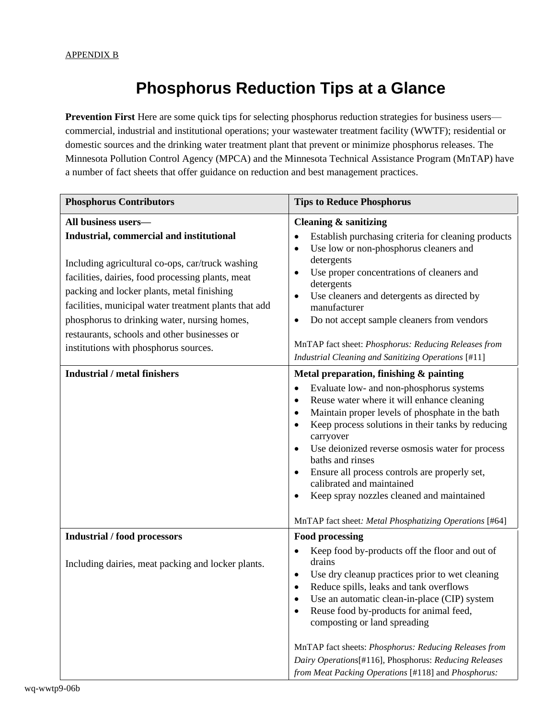## **Phosphorus Reduction Tips at a Glance**

**Prevention First** Here are some quick tips for selecting phosphorus reduction strategies for business users commercial, industrial and institutional operations; your wastewater treatment facility (WWTF); residential or domestic sources and the drinking water treatment plant that prevent or minimize phosphorus releases. The Minnesota Pollution Control Agency (MPCA) and the Minnesota Technical Assistance Program (MnTAP) have a number of fact sheets that offer guidance on reduction and best management practices.

| <b>Phosphorus Contributors</b>                                                                                                                                                                                                                                                                                                                                                                                           | <b>Tips to Reduce Phosphorus</b>                                                                                                                                                                                                                                                                                                                                                                                                                                                                                                                  |
|--------------------------------------------------------------------------------------------------------------------------------------------------------------------------------------------------------------------------------------------------------------------------------------------------------------------------------------------------------------------------------------------------------------------------|---------------------------------------------------------------------------------------------------------------------------------------------------------------------------------------------------------------------------------------------------------------------------------------------------------------------------------------------------------------------------------------------------------------------------------------------------------------------------------------------------------------------------------------------------|
| All business users-<br>Industrial, commercial and institutional<br>Including agricultural co-ops, car/truck washing<br>facilities, dairies, food processing plants, meat<br>packing and locker plants, metal finishing<br>facilities, municipal water treatment plants that add<br>phosphorus to drinking water, nursing homes,<br>restaurants, schools and other businesses or<br>institutions with phosphorus sources. | <b>Cleaning &amp; sanitizing</b><br>Establish purchasing criteria for cleaning products<br>$\bullet$<br>Use low or non-phosphorus cleaners and<br>$\bullet$<br>detergents<br>Use proper concentrations of cleaners and<br>٠<br>detergents<br>Use cleaners and detergents as directed by<br>$\bullet$<br>manufacturer<br>Do not accept sample cleaners from vendors<br>٠<br>MnTAP fact sheet: Phosphorus: Reducing Releases from<br>Industrial Cleaning and Sanitizing Operations [#11]                                                            |
| <b>Industrial / metal finishers</b>                                                                                                                                                                                                                                                                                                                                                                                      | Metal preparation, finishing & painting<br>Evaluate low- and non-phosphorus systems<br>$\bullet$<br>Reuse water where it will enhance cleaning<br>$\bullet$<br>Maintain proper levels of phosphate in the bath<br>٠<br>Keep process solutions in their tanks by reducing<br>carryover<br>Use deionized reverse osmosis water for process<br>baths and rinses<br>Ensure all process controls are properly set,<br>calibrated and maintained<br>Keep spray nozzles cleaned and maintained<br>MnTAP fact sheet: Metal Phosphatizing Operations [#64] |
| <b>Industrial / food processors</b><br>Including dairies, meat packing and locker plants.                                                                                                                                                                                                                                                                                                                                | <b>Food processing</b><br>Keep food by-products off the floor and out of<br>drains<br>Use dry cleanup practices prior to wet cleaning<br>$\bullet$<br>Reduce spills, leaks and tank overflows<br>Use an automatic clean-in-place (CIP) system<br>Reuse food by-products for animal feed,<br>composting or land spreading<br>MnTAP fact sheets: Phosphorus: Reducing Releases from<br>Dairy Operations[#116], Phosphorus: Reducing Releases<br>from Meat Packing Operations [#118] and Phosphorus:                                                 |